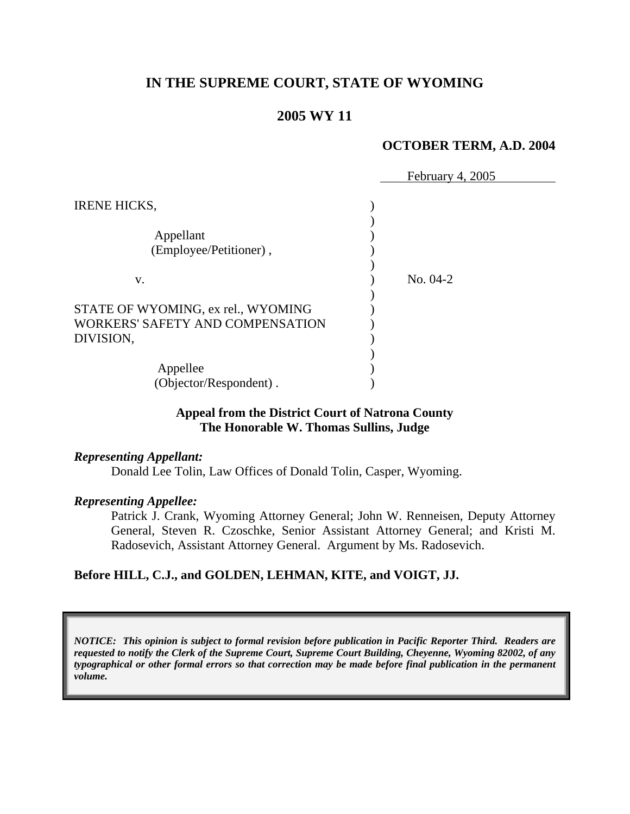# **IN THE SUPREME COURT, STATE OF WYOMING**

## **2005 WY 11**

#### **OCTOBER TERM, A.D. 2004**

|                                    | February 4, 2005 |
|------------------------------------|------------------|
| <b>IRENE HICKS,</b>                |                  |
|                                    |                  |
| Appellant                          |                  |
| (Employee/Petitioner),             |                  |
|                                    |                  |
| V.                                 | No. 04-2         |
|                                    |                  |
| STATE OF WYOMING, ex rel., WYOMING |                  |
| WORKERS' SAFETY AND COMPENSATION   |                  |
| DIVISION,                          |                  |
|                                    |                  |
| Appellee                           |                  |
| (Objector/Respondent).             |                  |

### **Appeal from the District Court of Natrona County The Honorable W. Thomas Sullins, Judge**

#### *Representing Appellant:*

Donald Lee Tolin, Law Offices of Donald Tolin, Casper, Wyoming.

#### *Representing Appellee:*

Patrick J. Crank, Wyoming Attorney General; John W. Renneisen, Deputy Attorney General, Steven R. Czoschke, Senior Assistant Attorney General; and Kristi M. Radosevich, Assistant Attorney General. Argument by Ms. Radosevich.

#### **Before HILL, C.J., and GOLDEN, LEHMAN, KITE, and VOIGT, JJ.**

*NOTICE: This opinion is subject to formal revision before publication in Pacific Reporter Third. Readers are requested to notify the Clerk of the Supreme Court, Supreme Court Building, Cheyenne, Wyoming 82002, of any typographical or other formal errors so that correction may be made before final publication in the permanent volume.*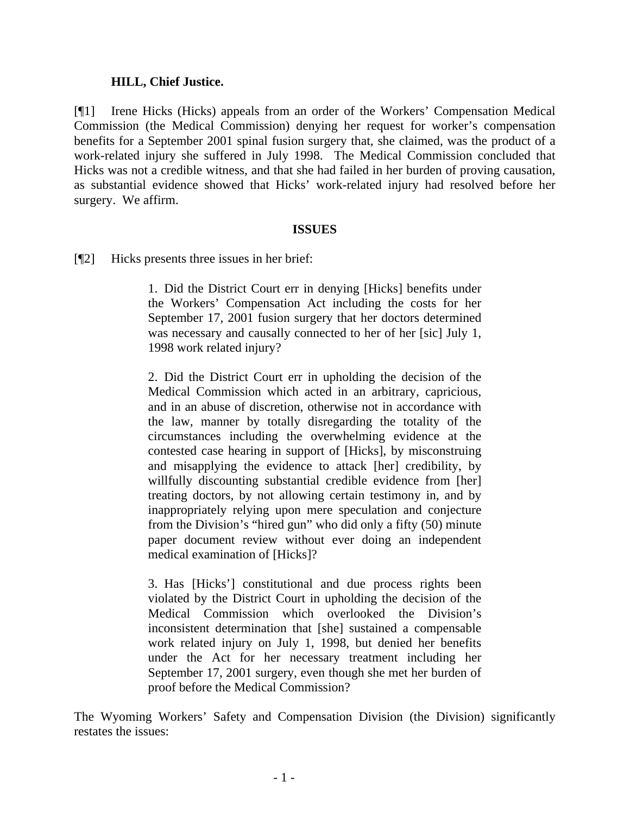### **HILL, Chief Justice.**

[¶1] Irene Hicks (Hicks) appeals from an order of the Workers' Compensation Medical Commission (the Medical Commission) denying her request for worker's compensation benefits for a September 2001 spinal fusion surgery that, she claimed, was the product of a work-related injury she suffered in July 1998. The Medical Commission concluded that Hicks was not a credible witness, and that she had failed in her burden of proving causation, as substantial evidence showed that Hicks' work-related injury had resolved before her surgery. We affirm.

### **ISSUES**

[¶2] Hicks presents three issues in her brief:

1. Did the District Court err in denying [Hicks] benefits under the Workers' Compensation Act including the costs for her September 17, 2001 fusion surgery that her doctors determined was necessary and causally connected to her of her [sic] July 1, 1998 work related injury?

2. Did the District Court err in upholding the decision of the Medical Commission which acted in an arbitrary, capricious, and in an abuse of discretion, otherwise not in accordance with the law, manner by totally disregarding the totality of the circumstances including the overwhelming evidence at the contested case hearing in support of [Hicks], by misconstruing and misapplying the evidence to attack [her] credibility, by willfully discounting substantial credible evidence from [her] treating doctors, by not allowing certain testimony in, and by inappropriately relying upon mere speculation and conjecture from the Division's "hired gun" who did only a fifty (50) minute paper document review without ever doing an independent medical examination of [Hicks]?

3. Has [Hicks'] constitutional and due process rights been violated by the District Court in upholding the decision of the Medical Commission which overlooked the Division's inconsistent determination that [she] sustained a compensable work related injury on July 1, 1998, but denied her benefits under the Act for her necessary treatment including her September 17, 2001 surgery, even though she met her burden of proof before the Medical Commission?

The Wyoming Workers' Safety and Compensation Division (the Division) significantly restates the issues: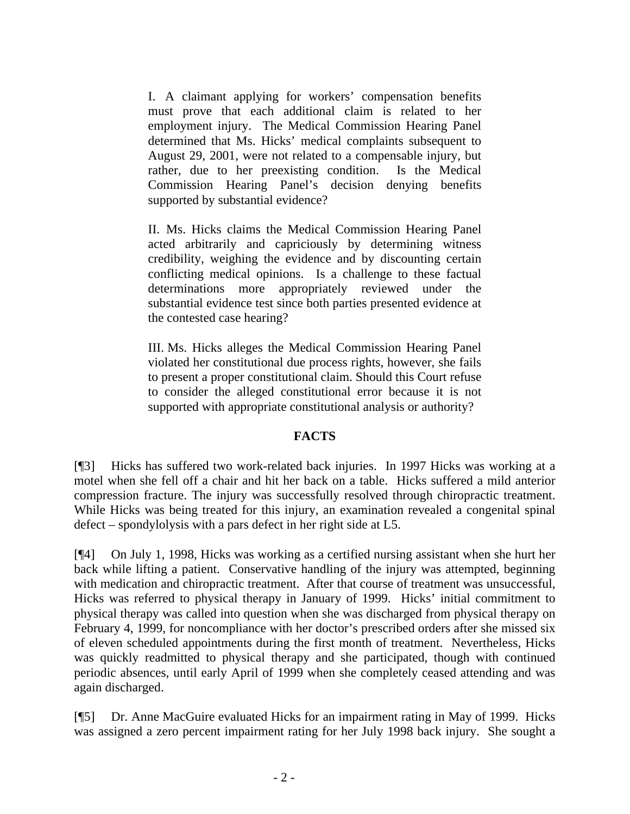I. A claimant applying for workers' compensation benefits must prove that each additional claim is related to her employment injury. The Medical Commission Hearing Panel determined that Ms. Hicks' medical complaints subsequent to August 29, 2001, were not related to a compensable injury, but rather, due to her preexisting condition. Is the Medical Commission Hearing Panel's decision denying benefits supported by substantial evidence?

II. Ms. Hicks claims the Medical Commission Hearing Panel acted arbitrarily and capriciously by determining witness credibility, weighing the evidence and by discounting certain conflicting medical opinions. Is a challenge to these factual determinations more appropriately reviewed under the substantial evidence test since both parties presented evidence at the contested case hearing?

III. Ms. Hicks alleges the Medical Commission Hearing Panel violated her constitutional due process rights, however, she fails to present a proper constitutional claim. Should this Court refuse to consider the alleged constitutional error because it is not supported with appropriate constitutional analysis or authority?

## **FACTS**

[¶3] Hicks has suffered two work-related back injuries. In 1997 Hicks was working at a motel when she fell off a chair and hit her back on a table. Hicks suffered a mild anterior compression fracture. The injury was successfully resolved through chiropractic treatment. While Hicks was being treated for this injury, an examination revealed a congenital spinal defect – spondylolysis with a pars defect in her right side at L5.

[¶4] On July 1, 1998, Hicks was working as a certified nursing assistant when she hurt her back while lifting a patient. Conservative handling of the injury was attempted, beginning with medication and chiropractic treatment. After that course of treatment was unsuccessful, Hicks was referred to physical therapy in January of 1999. Hicks' initial commitment to physical therapy was called into question when she was discharged from physical therapy on February 4, 1999, for noncompliance with her doctor's prescribed orders after she missed six of eleven scheduled appointments during the first month of treatment. Nevertheless, Hicks was quickly readmitted to physical therapy and she participated, though with continued periodic absences, until early April of 1999 when she completely ceased attending and was again discharged.

[¶5] Dr. Anne MacGuire evaluated Hicks for an impairment rating in May of 1999. Hicks was assigned a zero percent impairment rating for her July 1998 back injury. She sought a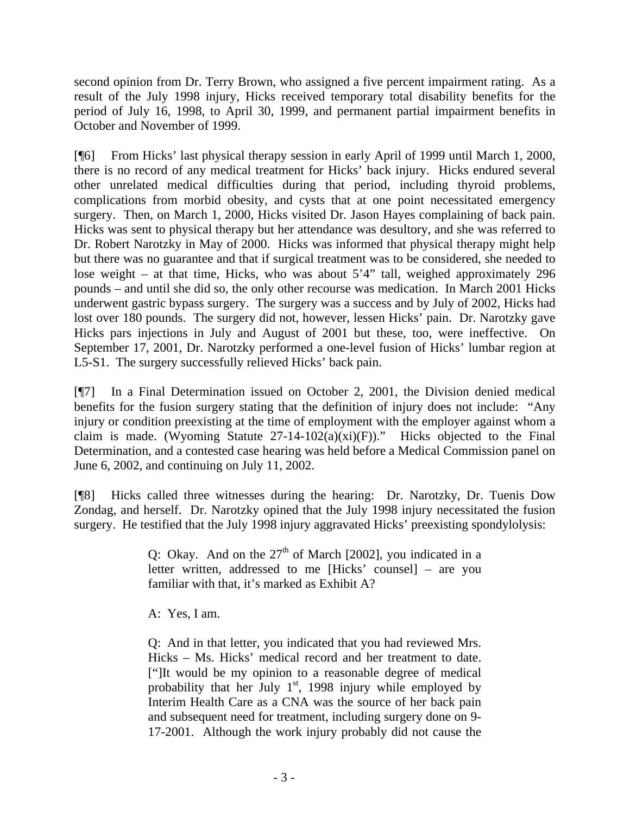second opinion from Dr. Terry Brown, who assigned a five percent impairment rating. As a result of the July 1998 injury, Hicks received temporary total disability benefits for the period of July 16, 1998, to April 30, 1999, and permanent partial impairment benefits in October and November of 1999.

[¶6] From Hicks' last physical therapy session in early April of 1999 until March 1, 2000, there is no record of any medical treatment for Hicks' back injury. Hicks endured several other unrelated medical difficulties during that period, including thyroid problems, complications from morbid obesity, and cysts that at one point necessitated emergency surgery. Then, on March 1, 2000, Hicks visited Dr. Jason Hayes complaining of back pain. Hicks was sent to physical therapy but her attendance was desultory, and she was referred to Dr. Robert Narotzky in May of 2000. Hicks was informed that physical therapy might help but there was no guarantee and that if surgical treatment was to be considered, she needed to lose weight – at that time, Hicks, who was about 5'4" tall, weighed approximately 296 pounds – and until she did so, the only other recourse was medication. In March 2001 Hicks underwent gastric bypass surgery. The surgery was a success and by July of 2002, Hicks had lost over 180 pounds. The surgery did not, however, lessen Hicks' pain. Dr. Narotzky gave Hicks pars injections in July and August of 2001 but these, too, were ineffective. On September 17, 2001, Dr. Narotzky performed a one-level fusion of Hicks' lumbar region at L5-S1. The surgery successfully relieved Hicks' back pain.

[¶7] In a Final Determination issued on October 2, 2001, the Division denied medical benefits for the fusion surgery stating that the definition of injury does not include: "Any injury or condition preexisting at the time of employment with the employer against whom a claim is made. (Wyoming Statute  $27-14-102(a)(xi)(F)$ )." Hicks objected to the Final Determination, and a contested case hearing was held before a Medical Commission panel on June 6, 2002, and continuing on July 11, 2002.

[¶8] Hicks called three witnesses during the hearing: Dr. Narotzky, Dr. Tuenis Dow Zondag, and herself. Dr. Narotzky opined that the July 1998 injury necessitated the fusion surgery. He testified that the July 1998 injury aggravated Hicks' preexisting spondylolysis:

> Q: Okay. And on the  $27<sup>th</sup>$  of March [2002], you indicated in a letter written, addressed to me [Hicks' counsel] – are you familiar with that, it's marked as Exhibit A?

A: Yes, I am.

Q: And in that letter, you indicated that you had reviewed Mrs. Hicks – Ms. Hicks' medical record and her treatment to date. ["]It would be my opinion to a reasonable degree of medical probability that her July  $1<sup>st</sup>$ , 1998 injury while employed by Interim Health Care as a CNA was the source of her back pain and subsequent need for treatment, including surgery done on 9- 17-2001. Although the work injury probably did not cause the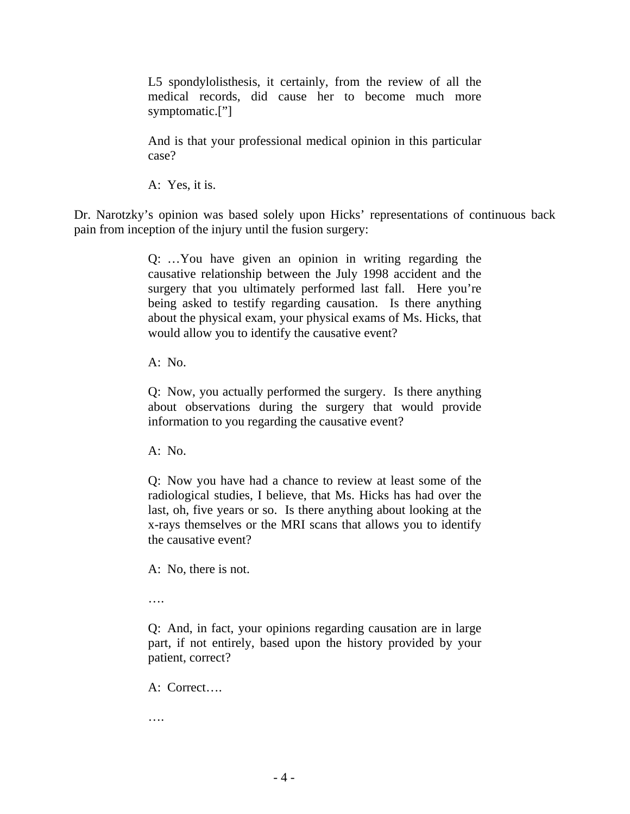L5 spondylolisthesis, it certainly, from the review of all the medical records, did cause her to become much more symptomatic.["]

And is that your professional medical opinion in this particular case?

A: Yes, it is.

Dr. Narotzky's opinion was based solely upon Hicks' representations of continuous back pain from inception of the injury until the fusion surgery:

> Q: …You have given an opinion in writing regarding the causative relationship between the July 1998 accident and the surgery that you ultimately performed last fall. Here you're being asked to testify regarding causation. Is there anything about the physical exam, your physical exams of Ms. Hicks, that would allow you to identify the causative event?

A: No.

Q: Now, you actually performed the surgery. Is there anything about observations during the surgery that would provide information to you regarding the causative event?

A: No.

Q: Now you have had a chance to review at least some of the radiological studies, I believe, that Ms. Hicks has had over the last, oh, five years or so. Is there anything about looking at the x-rays themselves or the MRI scans that allows you to identify the causative event?

A: No, there is not.

….

Q: And, in fact, your opinions regarding causation are in large part, if not entirely, based upon the history provided by your patient, correct?

A: Correct….

….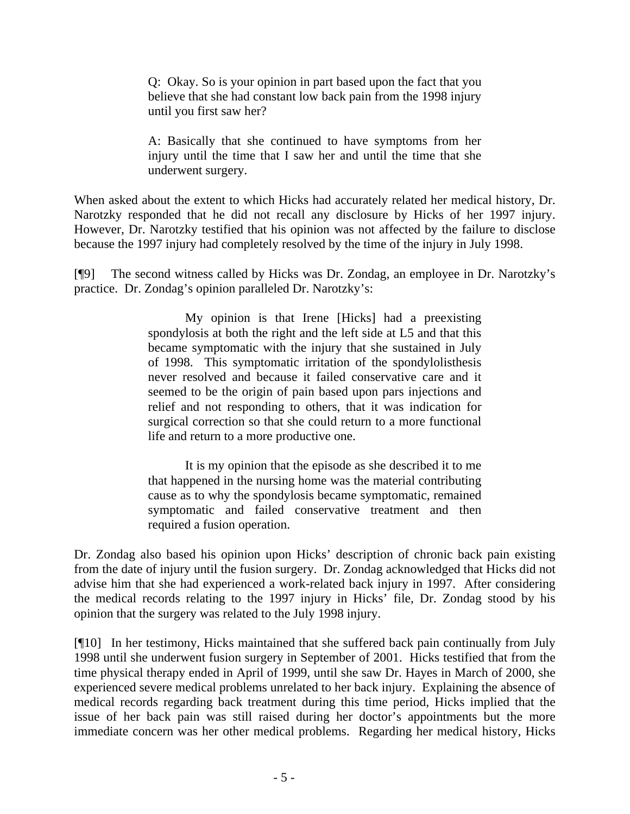Q: Okay. So is your opinion in part based upon the fact that you believe that she had constant low back pain from the 1998 injury until you first saw her?

A: Basically that she continued to have symptoms from her injury until the time that I saw her and until the time that she underwent surgery.

When asked about the extent to which Hicks had accurately related her medical history, Dr. Narotzky responded that he did not recall any disclosure by Hicks of her 1997 injury. However, Dr. Narotzky testified that his opinion was not affected by the failure to disclose because the 1997 injury had completely resolved by the time of the injury in July 1998.

[¶9] The second witness called by Hicks was Dr. Zondag, an employee in Dr. Narotzky's practice. Dr. Zondag's opinion paralleled Dr. Narotzky's:

> My opinion is that Irene [Hicks] had a preexisting spondylosis at both the right and the left side at L5 and that this became symptomatic with the injury that she sustained in July of 1998. This symptomatic irritation of the spondylolisthesis never resolved and because it failed conservative care and it seemed to be the origin of pain based upon pars injections and relief and not responding to others, that it was indication for surgical correction so that she could return to a more functional life and return to a more productive one.

> It is my opinion that the episode as she described it to me that happened in the nursing home was the material contributing cause as to why the spondylosis became symptomatic, remained symptomatic and failed conservative treatment and then required a fusion operation.

Dr. Zondag also based his opinion upon Hicks' description of chronic back pain existing from the date of injury until the fusion surgery. Dr. Zondag acknowledged that Hicks did not advise him that she had experienced a work-related back injury in 1997. After considering the medical records relating to the 1997 injury in Hicks' file, Dr. Zondag stood by his opinion that the surgery was related to the July 1998 injury.

[¶10] In her testimony, Hicks maintained that she suffered back pain continually from July 1998 until she underwent fusion surgery in September of 2001. Hicks testified that from the time physical therapy ended in April of 1999, until she saw Dr. Hayes in March of 2000, she experienced severe medical problems unrelated to her back injury. Explaining the absence of medical records regarding back treatment during this time period, Hicks implied that the issue of her back pain was still raised during her doctor's appointments but the more immediate concern was her other medical problems. Regarding her medical history, Hicks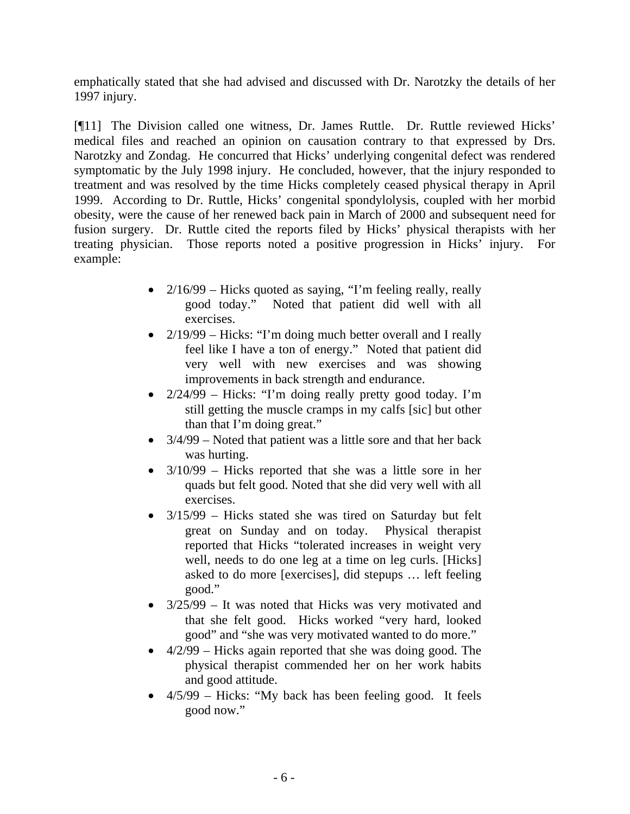emphatically stated that she had advised and discussed with Dr. Narotzky the details of her 1997 injury.

[¶11] The Division called one witness, Dr. James Ruttle. Dr. Ruttle reviewed Hicks' medical files and reached an opinion on causation contrary to that expressed by Drs. Narotzky and Zondag. He concurred that Hicks' underlying congenital defect was rendered symptomatic by the July 1998 injury. He concluded, however, that the injury responded to treatment and was resolved by the time Hicks completely ceased physical therapy in April 1999. According to Dr. Ruttle, Hicks' congenital spondylolysis, coupled with her morbid obesity, were the cause of her renewed back pain in March of 2000 and subsequent need for fusion surgery. Dr. Ruttle cited the reports filed by Hicks' physical therapists with her treating physician. Those reports noted a positive progression in Hicks' injury. For example:

- 2/16/99 Hicks quoted as saying, "I'm feeling really, really good today." Noted that patient did well with all exercises.
- 2/19/99 Hicks: "I'm doing much better overall and I really feel like I have a ton of energy." Noted that patient did very well with new exercises and was showing improvements in back strength and endurance.
- 2/24/99 Hicks: "I'm doing really pretty good today. I'm still getting the muscle cramps in my calfs [sic] but other than that I'm doing great."
- $3/4/99$  Noted that patient was a little sore and that her back was hurting.
- 3/10/99 Hicks reported that she was a little sore in her quads but felt good. Noted that she did very well with all exercises.
- 3/15/99 Hicks stated she was tired on Saturday but felt great on Sunday and on today. Physical therapist reported that Hicks "tolerated increases in weight very well, needs to do one leg at a time on leg curls. [Hicks] asked to do more [exercises], did stepups … left feeling good."
- 3/25/99 It was noted that Hicks was very motivated and that she felt good. Hicks worked "very hard, looked good" and "she was very motivated wanted to do more."
- 4/2/99 Hicks again reported that she was doing good. The physical therapist commended her on her work habits and good attitude.
- 4/5/99 Hicks: "My back has been feeling good. It feels good now."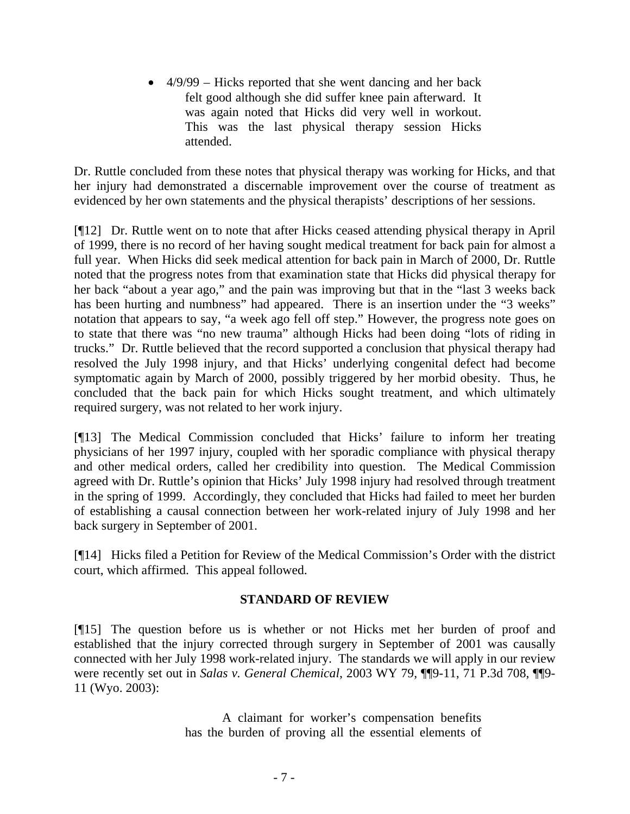• 4/9/99 – Hicks reported that she went dancing and her back felt good although she did suffer knee pain afterward. It was again noted that Hicks did very well in workout. This was the last physical therapy session Hicks attended.

Dr. Ruttle concluded from these notes that physical therapy was working for Hicks, and that her injury had demonstrated a discernable improvement over the course of treatment as evidenced by her own statements and the physical therapists' descriptions of her sessions.

[¶12] Dr. Ruttle went on to note that after Hicks ceased attending physical therapy in April of 1999, there is no record of her having sought medical treatment for back pain for almost a full year. When Hicks did seek medical attention for back pain in March of 2000, Dr. Ruttle noted that the progress notes from that examination state that Hicks did physical therapy for her back "about a year ago," and the pain was improving but that in the "last 3 weeks back has been hurting and numbness" had appeared. There is an insertion under the "3 weeks" notation that appears to say, "a week ago fell off step." However, the progress note goes on to state that there was "no new trauma" although Hicks had been doing "lots of riding in trucks." Dr. Ruttle believed that the record supported a conclusion that physical therapy had resolved the July 1998 injury, and that Hicks' underlying congenital defect had become symptomatic again by March of 2000, possibly triggered by her morbid obesity. Thus, he concluded that the back pain for which Hicks sought treatment, and which ultimately required surgery, was not related to her work injury.

[¶13] The Medical Commission concluded that Hicks' failure to inform her treating physicians of her 1997 injury, coupled with her sporadic compliance with physical therapy and other medical orders, called her credibility into question. The Medical Commission agreed with Dr. Ruttle's opinion that Hicks' July 1998 injury had resolved through treatment in the spring of 1999. Accordingly, they concluded that Hicks had failed to meet her burden of establishing a causal connection between her work-related injury of July 1998 and her back surgery in September of 2001.

[¶14] Hicks filed a Petition for Review of the Medical Commission's Order with the district court, which affirmed. This appeal followed.

# **STANDARD OF REVIEW**

[¶15] The question before us is whether or not Hicks met her burden of proof and established that the injury corrected through surgery in September of 2001 was causally connected with her July 1998 work-related injury. The standards we will apply in our review were recently set out in *Salas v. General Chemical*, 2003 WY 79, ¶¶9-11, 71 P.3d 708, ¶¶9-11 (Wyo. 2003):

> A claimant for worker's compensation benefits has the burden of proving all the essential elements of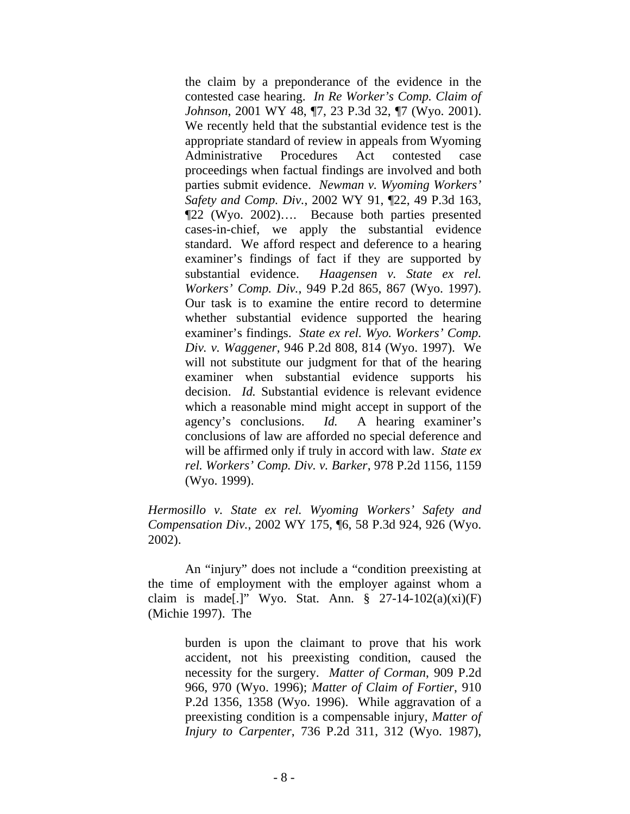the claim by a preponderance of the evidence in the contested case hearing. *In Re Worker's Comp. Claim of Johnson*, 2001 WY 48, ¶7, 23 P.3d 32, ¶7 (Wyo. 2001). We recently held that the substantial evidence test is the appropriate standard of review in appeals from Wyoming Administrative Procedures Act contested case proceedings when factual findings are involved and both parties submit evidence. *Newman v. Wyoming Workers' Safety and Comp. Div.*, 2002 WY 91, ¶22, 49 P.3d 163, ¶22 (Wyo. 2002)…. Because both parties presented cases-in-chief, we apply the substantial evidence standard. We afford respect and deference to a hearing examiner's findings of fact if they are supported by substantial evidence. *Haagensen v. State ex rel. Workers' Comp. Div.*, 949 P.2d 865, 867 (Wyo. 1997). Our task is to examine the entire record to determine whether substantial evidence supported the hearing examiner's findings. *State ex rel. Wyo. Workers' Comp. Div. v. Waggener*, 946 P.2d 808, 814 (Wyo. 1997). We will not substitute our judgment for that of the hearing examiner when substantial evidence supports his decision. *Id.* Substantial evidence is relevant evidence which a reasonable mind might accept in support of the agency's conclusions. *Id.* A hearing examiner's conclusions of law are afforded no special deference and will be affirmed only if truly in accord with law. *State ex rel. Workers' Comp. Div. v. Barker*, 978 P.2d 1156, 1159 (Wyo. 1999).

*Hermosillo v. State ex rel. Wyoming Workers' Safety and Compensation Div.*, 2002 WY 175, ¶6, 58 P.3d 924, 926 (Wyo. 2002).

An "injury" does not include a "condition preexisting at the time of employment with the employer against whom a claim is made[.]" Wyo. Stat. Ann.  $\S$  27-14-102(a)(xi)(F) (Michie 1997). The

> burden is upon the claimant to prove that his work accident, not his preexisting condition, caused the necessity for the surgery. *Matter of Corman*, 909 P.2d 966, 970 (Wyo. 1996); *Matter of Claim of Fortier*, 910 P.2d 1356, 1358 (Wyo. 1996). While aggravation of a preexisting condition is a compensable injury, *Matter of Injury to Carpenter*, 736 P.2d 311, 312 (Wyo. 1987),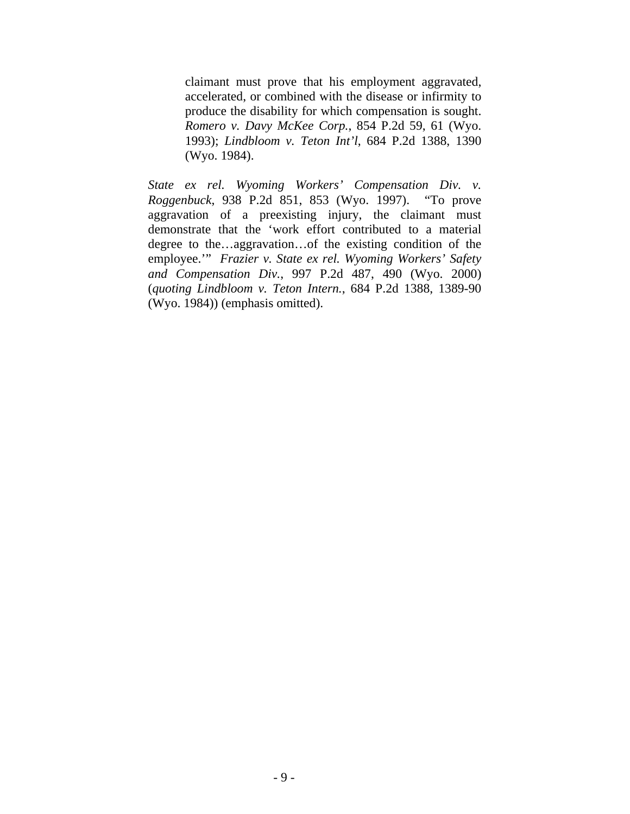claimant must prove that his employment aggravated, accelerated, or combined with the disease or infirmity to produce the disability for which compensation is sought. *Romero v. Davy McKee Corp.*, 854 P.2d 59, 61 (Wyo. 1993); *Lindbloom v. Teton Int'l*, 684 P.2d 1388, 1390 (Wyo. 1984).

*State ex rel. Wyoming Workers' Compensation Div. v. Roggenbuck*, 938 P.2d 851, 853 (Wyo. 1997). "To prove aggravation of a preexisting injury, the claimant must demonstrate that the 'work effort contributed to a material degree to the…aggravation…of the existing condition of the employee.'" *Frazier v. State ex rel. Wyoming Workers' Safety and Compensation Div.*, 997 P.2d 487, 490 (Wyo. 2000) (*quoting Lindbloom v. Teton Intern.*, 684 P.2d 1388, 1389-90 (Wyo. 1984)) (emphasis omitted).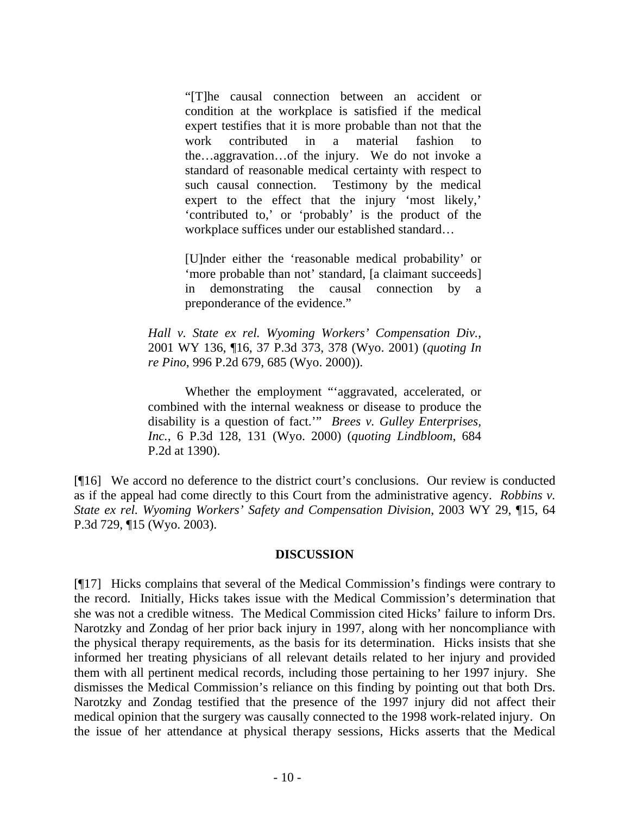"[T]he causal connection between an accident or condition at the workplace is satisfied if the medical expert testifies that it is more probable than not that the work contributed in a material fashion the…aggravation…of the injury. We do not invoke a standard of reasonable medical certainty with respect to such causal connection. Testimony by the medical expert to the effect that the injury 'most likely,' 'contributed to,' or 'probably' is the product of the workplace suffices under our established standard…

[U]nder either the 'reasonable medical probability' or 'more probable than not' standard, [a claimant succeeds] in demonstrating the causal connection by a preponderance of the evidence."

*Hall v. State ex rel. Wyoming Workers' Compensation Div.*, 2001 WY 136, ¶16, 37 P.3d 373, 378 (Wyo. 2001) (*quoting In re Pino*, 996 P.2d 679, 685 (Wyo. 2000)).

Whether the employment "'aggravated, accelerated, or combined with the internal weakness or disease to produce the disability is a question of fact.'" *Brees v. Gulley Enterprises, Inc.*, 6 P.3d 128, 131 (Wyo. 2000) (*quoting Lindbloom*, 684 P.2d at 1390).

[¶16] We accord no deference to the district court's conclusions. Our review is conducted as if the appeal had come directly to this Court from the administrative agency. *Robbins v. State ex rel. Wyoming Workers' Safety and Compensation Division*, 2003 WY 29, ¶15, 64 P.3d 729, ¶15 (Wyo. 2003).

#### **DISCUSSION**

[¶17] Hicks complains that several of the Medical Commission's findings were contrary to the record. Initially, Hicks takes issue with the Medical Commission's determination that she was not a credible witness. The Medical Commission cited Hicks' failure to inform Drs. Narotzky and Zondag of her prior back injury in 1997, along with her noncompliance with the physical therapy requirements, as the basis for its determination. Hicks insists that she informed her treating physicians of all relevant details related to her injury and provided them with all pertinent medical records, including those pertaining to her 1997 injury. She dismisses the Medical Commission's reliance on this finding by pointing out that both Drs. Narotzky and Zondag testified that the presence of the 1997 injury did not affect their medical opinion that the surgery was causally connected to the 1998 work-related injury. On the issue of her attendance at physical therapy sessions, Hicks asserts that the Medical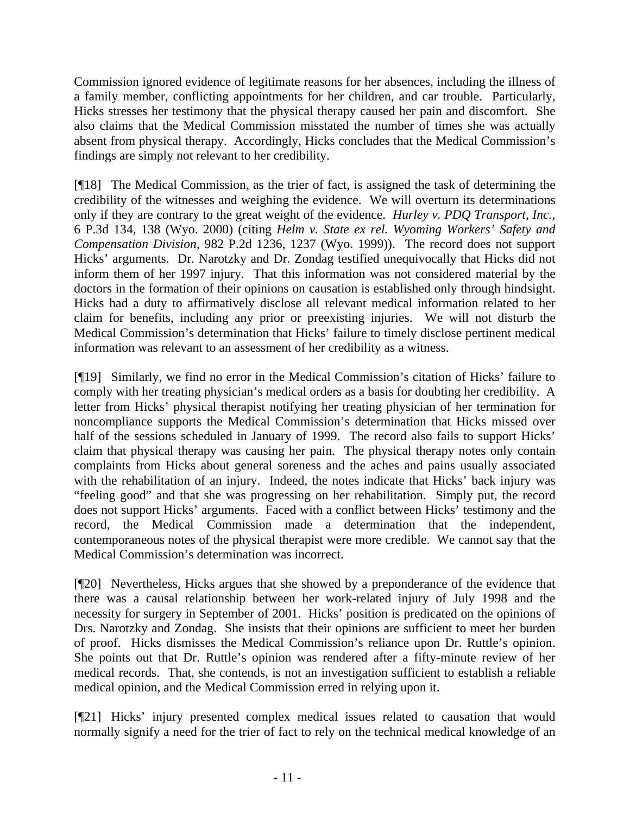Commission ignored evidence of legitimate reasons for her absences, including the illness of a family member, conflicting appointments for her children, and car trouble. Particularly, Hicks stresses her testimony that the physical therapy caused her pain and discomfort. She also claims that the Medical Commission misstated the number of times she was actually absent from physical therapy. Accordingly, Hicks concludes that the Medical Commission's findings are simply not relevant to her credibility.

[¶18] The Medical Commission, as the trier of fact, is assigned the task of determining the credibility of the witnesses and weighing the evidence. We will overturn its determinations only if they are contrary to the great weight of the evidence. *Hurley v. PDQ Transport, Inc.*, 6 P.3d 134, 138 (Wyo. 2000) (citing *Helm v. State ex rel. Wyoming Workers' Safety and Compensation Division*, 982 P.2d 1236, 1237 (Wyo. 1999)). The record does not support Hicks' arguments. Dr. Narotzky and Dr. Zondag testified unequivocally that Hicks did not inform them of her 1997 injury. That this information was not considered material by the doctors in the formation of their opinions on causation is established only through hindsight. Hicks had a duty to affirmatively disclose all relevant medical information related to her claim for benefits, including any prior or preexisting injuries. We will not disturb the Medical Commission's determination that Hicks' failure to timely disclose pertinent medical information was relevant to an assessment of her credibility as a witness.

[¶19] Similarly, we find no error in the Medical Commission's citation of Hicks' failure to comply with her treating physician's medical orders as a basis for doubting her credibility. A letter from Hicks' physical therapist notifying her treating physician of her termination for noncompliance supports the Medical Commission's determination that Hicks missed over half of the sessions scheduled in January of 1999. The record also fails to support Hicks' claim that physical therapy was causing her pain. The physical therapy notes only contain complaints from Hicks about general soreness and the aches and pains usually associated with the rehabilitation of an injury. Indeed, the notes indicate that Hicks' back injury was "feeling good" and that she was progressing on her rehabilitation. Simply put, the record does not support Hicks' arguments. Faced with a conflict between Hicks' testimony and the record, the Medical Commission made a determination that the independent, contemporaneous notes of the physical therapist were more credible. We cannot say that the Medical Commission's determination was incorrect.

[¶20] Nevertheless, Hicks argues that she showed by a preponderance of the evidence that there was a causal relationship between her work-related injury of July 1998 and the necessity for surgery in September of 2001. Hicks' position is predicated on the opinions of Drs. Narotzky and Zondag. She insists that their opinions are sufficient to meet her burden of proof. Hicks dismisses the Medical Commission's reliance upon Dr. Ruttle's opinion. She points out that Dr. Ruttle's opinion was rendered after a fifty-minute review of her medical records. That, she contends, is not an investigation sufficient to establish a reliable medical opinion, and the Medical Commission erred in relying upon it.

[¶21] Hicks' injury presented complex medical issues related to causation that would normally signify a need for the trier of fact to rely on the technical medical knowledge of an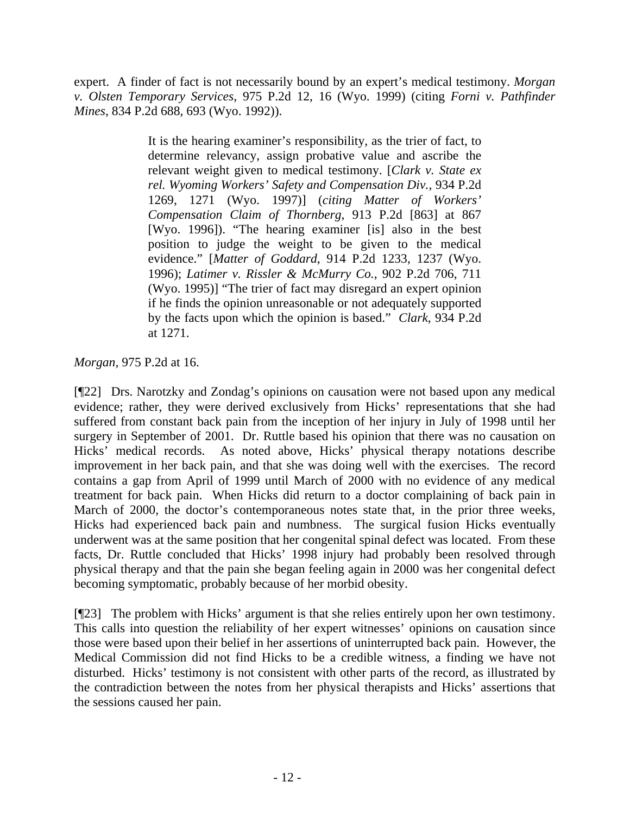expert. A finder of fact is not necessarily bound by an expert's medical testimony. *Morgan v. Olsten Temporary Services*, 975 P.2d 12, 16 (Wyo. 1999) (citing *Forni v. Pathfinder Mines*, 834 P.2d 688, 693 (Wyo. 1992)).

> It is the hearing examiner's responsibility, as the trier of fact, to determine relevancy, assign probative value and ascribe the relevant weight given to medical testimony. [*Clark v. State ex rel. Wyoming Workers' Safety and Compensation Div.*, 934 P.2d 1269, 1271 (Wyo. 1997)] (*citing Matter of Workers' Compensation Claim of Thornberg*, 913 P.2d [863] at 867 [Wyo. 1996]). "The hearing examiner [is] also in the best position to judge the weight to be given to the medical evidence." [*Matter of Goddard*, 914 P.2d 1233, 1237 (Wyo. 1996); *Latimer v. Rissler & McMurry Co.*, 902 P.2d 706, 711 (Wyo. 1995)] "The trier of fact may disregard an expert opinion if he finds the opinion unreasonable or not adequately supported by the facts upon which the opinion is based." *Clark*, 934 P.2d at 1271.

# *Morgan,* 975 P.2d at 16.

[¶22] Drs. Narotzky and Zondag's opinions on causation were not based upon any medical evidence; rather, they were derived exclusively from Hicks' representations that she had suffered from constant back pain from the inception of her injury in July of 1998 until her surgery in September of 2001. Dr. Ruttle based his opinion that there was no causation on Hicks' medical records. As noted above, Hicks' physical therapy notations describe improvement in her back pain, and that she was doing well with the exercises. The record contains a gap from April of 1999 until March of 2000 with no evidence of any medical treatment for back pain. When Hicks did return to a doctor complaining of back pain in March of 2000, the doctor's contemporaneous notes state that, in the prior three weeks, Hicks had experienced back pain and numbness. The surgical fusion Hicks eventually underwent was at the same position that her congenital spinal defect was located. From these facts, Dr. Ruttle concluded that Hicks' 1998 injury had probably been resolved through physical therapy and that the pain she began feeling again in 2000 was her congenital defect becoming symptomatic, probably because of her morbid obesity.

[¶23] The problem with Hicks' argument is that she relies entirely upon her own testimony. This calls into question the reliability of her expert witnesses' opinions on causation since those were based upon their belief in her assertions of uninterrupted back pain. However, the Medical Commission did not find Hicks to be a credible witness, a finding we have not disturbed. Hicks' testimony is not consistent with other parts of the record, as illustrated by the contradiction between the notes from her physical therapists and Hicks' assertions that the sessions caused her pain.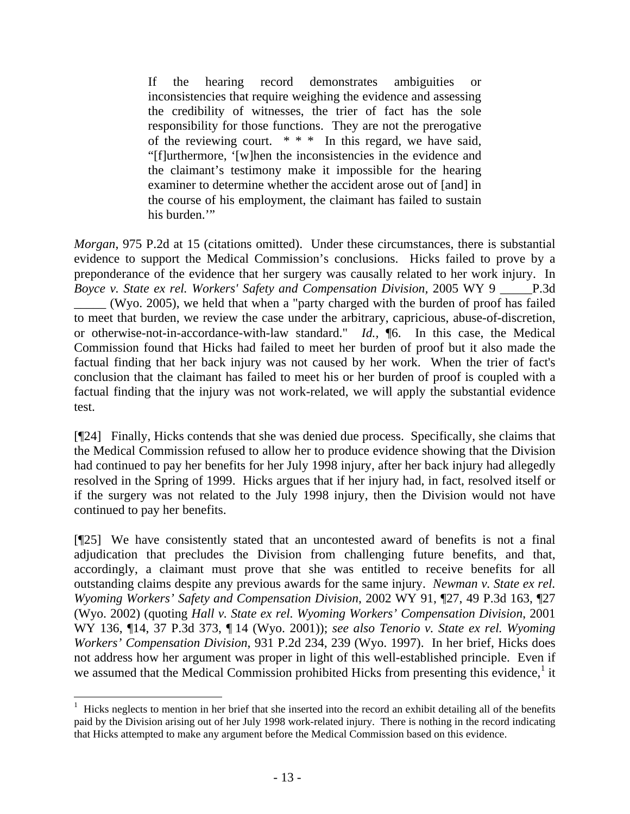If the hearing record demonstrates ambiguities or inconsistencies that require weighing the evidence and assessing the credibility of witnesses, the trier of fact has the sole responsibility for those functions. They are not the prerogative of the reviewing court. \* \* \* In this regard, we have said, "[f]urthermore, '[w]hen the inconsistencies in the evidence and the claimant's testimony make it impossible for the hearing examiner to determine whether the accident arose out of [and] in the course of his employment, the claimant has failed to sustain his burden."

*Morgan*, 975 P.2d at 15 (citations omitted). Under these circumstances, there is substantial evidence to support the Medical Commission's conclusions. Hicks failed to prove by a preponderance of the evidence that her surgery was causally related to her work injury. In *Boyce v. State ex rel. Workers' Safety and Compensation Division,* 2005 WY 9 \_\_\_\_\_P.3d (Wyo. 2005), we held that when a "party charged with the burden of proof has failed to meet that burden, we review the case under the arbitrary, capricious, abuse-of-discretion, or otherwise-not-in-accordance-with-law standard." *Id.,* ¶6. In this case, the Medical Commission found that Hicks had failed to meet her burden of proof but it also made the factual finding that her back injury was not caused by her work. When the trier of fact's conclusion that the claimant has failed to meet his or her burden of proof is coupled with a factual finding that the injury was not work-related, we will apply the substantial evidence test.

[¶24] Finally, Hicks contends that she was denied due process. Specifically, she claims that the Medical Commission refused to allow her to produce evidence showing that the Division had continued to pay her benefits for her July 1998 injury, after her back injury had allegedly resolved in the Spring of 1999. Hicks argues that if her injury had, in fact, resolved itself or if the surgery was not related to the July 1998 injury, then the Division would not have continued to pay her benefits.

[¶25] We have consistently stated that an uncontested award of benefits is not a final adjudication that precludes the Division from challenging future benefits, and that, accordingly, a claimant must prove that she was entitled to receive benefits for all outstanding claims despite any previous awards for the same injury. *Newman v. State ex rel. Wyoming Workers' Safety and Compensation Division*, 2002 WY 91, ¶27, 49 P.3d 163, ¶27 (Wyo. 2002) (quoting *Hall v. State ex rel. Wyoming Workers' Compensation Division*, 2001 WY 136, ¶14, 37 P.3d 373, ¶ 14 (Wyo. 2001)); *see also Tenorio v. State ex rel. Wyoming Workers' Compensation Division*, 931 P.2d 234, 239 (Wyo. 1997). In her brief, Hicks does not address how her argument was proper in light of this well-established principle. Even if we assumed that the Medical Commission prohibited Hicks from presenting this evidence,<sup>[1](#page-14-0)</sup> it

<span id="page-14-0"></span> $1$  Hicks neglects to mention in her brief that she inserted into the record an exhibit detailing all of the benefits paid by the Division arising out of her July 1998 work-related injury. There is nothing in the record indicating that Hicks attempted to make any argument before the Medical Commission based on this evidence.